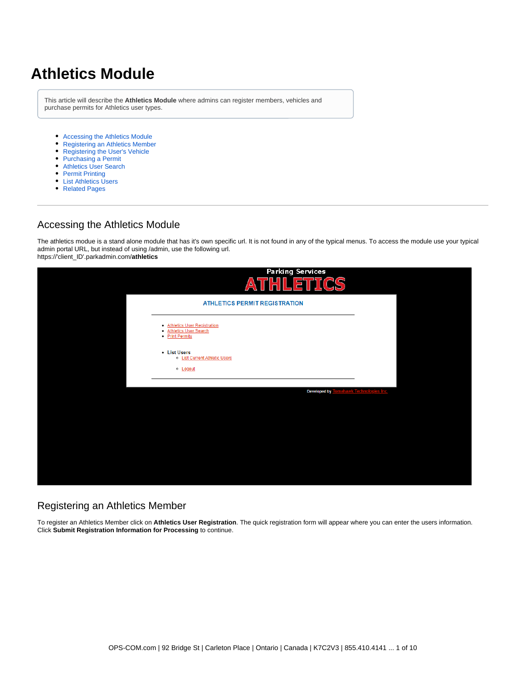# **Athletics Module**

This article will describe the **Athletics Module** where admins can register members, vehicles and purchase permits for Athletics user types.

- [Accessing the Athletics Module](#page-0-0)
- [Registering an Athletics Member](#page-0-1)
- [Registering the User's Vehicle](#page-1-0)
- [Purchasing a Permit](#page-2-0)
- [Athletics User Search](#page-4-0)
- [Permit Printing](#page-5-0)
- [List Athletics Users](#page-6-0)
- [Related Pages](#page-8-0)

#### <span id="page-0-0"></span>Accessing the Athletics Module

The athletics modue is a stand alone module that has it's own specific url. It is not found in any of the typical menus. To access the module use your typical admin portal URL, but instead of using /admin, use the following url. https://'client\_ID'.parkadmin.com/**athletics**

| <b>Parking Services</b><br>ETTICS<br>THIL<br>A                              |  |
|-----------------------------------------------------------------------------|--|
| <b>ATHLETICS PERMIT REGISTRATION</b>                                        |  |
| · Athletics User Registration<br>- Athletics User Search<br>• Print Permits |  |
| - List Users<br>o List Current Athletic Users                               |  |
| o Logout                                                                    |  |
| Developed by<br>hawk Technologies Inc.                                      |  |
|                                                                             |  |
|                                                                             |  |
|                                                                             |  |
|                                                                             |  |

#### <span id="page-0-1"></span>Registering an Athletics Member

To register an Athletics Member click on **Athletics User Registration**. The quick registration form will appear where you can enter the users information. Click **Submit Registration Information for Processing** to continue.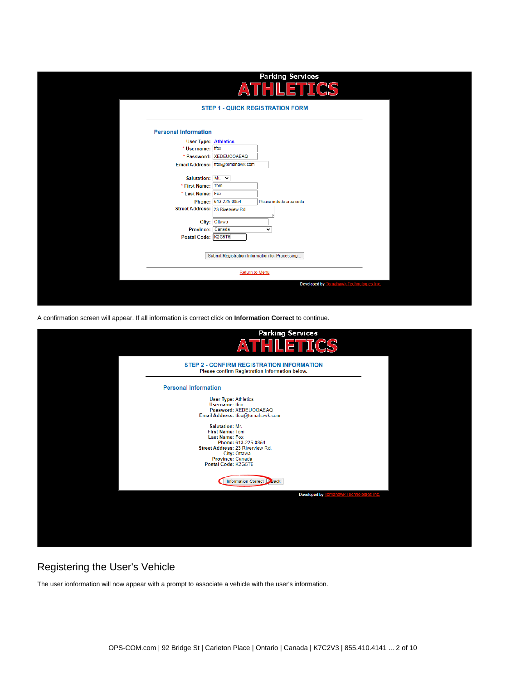|                                                                                                                                                                                                                             | <b>Parking Services</b><br>F<br>۵١                                                                                                            |  |
|-----------------------------------------------------------------------------------------------------------------------------------------------------------------------------------------------------------------------------|-----------------------------------------------------------------------------------------------------------------------------------------------|--|
|                                                                                                                                                                                                                             | <b>STEP 1 - QUICK REGISTRATION FORM</b>                                                                                                       |  |
| <b>Personal Information</b><br><b>User Type: Athletics</b><br>* Username: tfox<br>Salutation: Mr. v<br>* First Name: Tom<br>* Last Name: Fox<br>Street Address: 23 Riverview Rd.<br>Province: Canada<br>Postal Code: K2G5T6 | * Password: XEDEUOOAEAQ<br>Email Address: tfox@tomahawk.com<br>Phone: 613-225-0854<br>Please include area code<br>City: Ottawa<br>$\check{ }$ |  |
|                                                                                                                                                                                                                             | Submit Registration Information for Processing                                                                                                |  |
|                                                                                                                                                                                                                             | Return to Menu                                                                                                                                |  |
|                                                                                                                                                                                                                             | Developed by<br>awk Technologies Inc.                                                                                                         |  |

A confirmation screen will appear. If all information is correct click on **Information Correct** to continue.



#### <span id="page-1-0"></span>Registering the User's Vehicle

The user ionformation will now appear with a prompt to associate a vehicle with the user's information.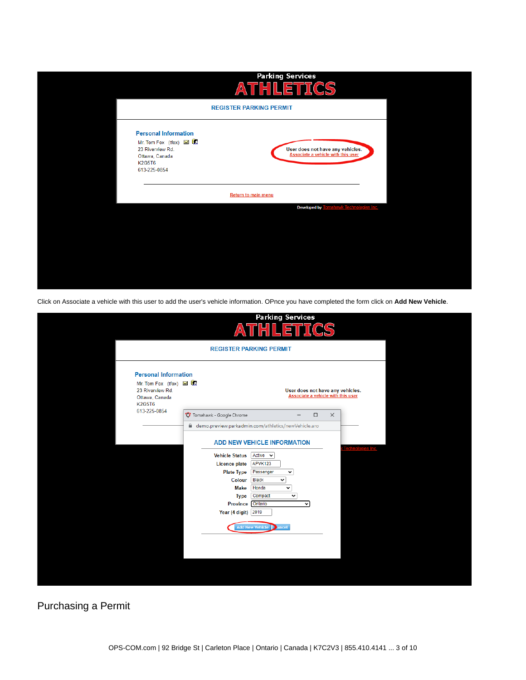

Click on Associate a vehicle with this user to add the user's vehicle information. OPnce you have completed the form click on **Add New Vehicle**.

|                                                                                                    | <b>Parking Services</b><br>ATHLETICS                                                                                                                                                                                                                                                                                                     |  |
|----------------------------------------------------------------------------------------------------|------------------------------------------------------------------------------------------------------------------------------------------------------------------------------------------------------------------------------------------------------------------------------------------------------------------------------------------|--|
|                                                                                                    | <b>REGISTER PARKING PERMIT</b>                                                                                                                                                                                                                                                                                                           |  |
| <b>Personal Information</b><br>Mr. Tom Fox (tfox) <b>M R</b><br>23 Riverview Rd.<br>Ottawa, Canada | User does not have any vehicles.<br>Associate a vehicle with this user                                                                                                                                                                                                                                                                   |  |
| <b>K2G5T6</b><br>613-225-0854                                                                      | Tomahawk - Google Chrome<br>$\Box$<br>$\times$<br>demo.preview.parkadmin.com/athletics/newVehicle.aro                                                                                                                                                                                                                                    |  |
|                                                                                                    | <b>ADD NEW VEHICLE INFORMATION</b><br><b>Vehicle Status</b><br>Active $\sim$<br><b>Licence plate</b><br>APVK123<br><b>Plate Type</b><br>Passenger<br>$\check{~}$<br><b>Black</b><br>Colour<br>$\check{~}$<br><b>Make</b><br>Honda<br>$\checkmark$<br><b>Type</b><br>Compact<br>$\check{ }$<br><b>Province</b><br>Ontario<br>$\checkmark$ |  |
|                                                                                                    | Year (4 digit) 2019<br><b>Add New Vehicle</b><br><b>D</b> ancel                                                                                                                                                                                                                                                                          |  |

<span id="page-2-0"></span>Purchasing a Permit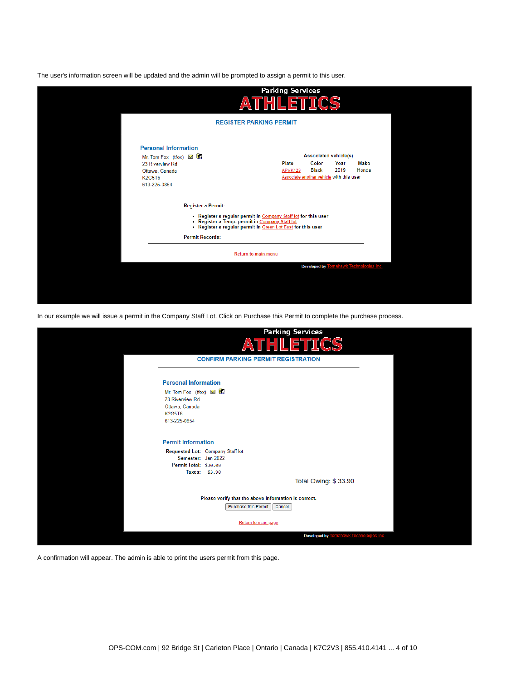The user's information screen will be updated and the admin will be prompted to assign a permit to this user.

| <b>REGISTER PARKING PERMIT</b><br><b>Personal Information</b><br><b>Associated vehicle(s)</b><br>Mr. Tom Fox (tfox) <b>MI</b><br>Color<br>Plate<br>Year<br>23 Riverview Rd.<br>2019<br><b>Black</b><br>APVK123<br>Ottawa, Canada<br>Associate another vehicle with this user<br><b>K2G5T6</b><br>613-225-0854<br><b>Register a Permit:</b><br>- Register a regular permit in Company Staff lot for this user<br>- Register a Temp. permit in Company Staff lot<br>- Register a regular permit in <u>Green Lot East</u> for this user<br><b>Permit Records:</b><br><b>Return to main menu</b> | ATHLETICS |                      |
|----------------------------------------------------------------------------------------------------------------------------------------------------------------------------------------------------------------------------------------------------------------------------------------------------------------------------------------------------------------------------------------------------------------------------------------------------------------------------------------------------------------------------------------------------------------------------------------------|-----------|----------------------|
|                                                                                                                                                                                                                                                                                                                                                                                                                                                                                                                                                                                              |           |                      |
|                                                                                                                                                                                                                                                                                                                                                                                                                                                                                                                                                                                              |           |                      |
|                                                                                                                                                                                                                                                                                                                                                                                                                                                                                                                                                                                              |           |                      |
|                                                                                                                                                                                                                                                                                                                                                                                                                                                                                                                                                                                              |           | <b>Make</b>          |
|                                                                                                                                                                                                                                                                                                                                                                                                                                                                                                                                                                                              |           | Honda                |
|                                                                                                                                                                                                                                                                                                                                                                                                                                                                                                                                                                                              |           |                      |
|                                                                                                                                                                                                                                                                                                                                                                                                                                                                                                                                                                                              |           |                      |
|                                                                                                                                                                                                                                                                                                                                                                                                                                                                                                                                                                                              |           |                      |
|                                                                                                                                                                                                                                                                                                                                                                                                                                                                                                                                                                                              |           |                      |
| <b>Developed by</b>                                                                                                                                                                                                                                                                                                                                                                                                                                                                                                                                                                          |           | wk Techno<br>es Inc. |

In our example we will issue a permit in the Company Staff Lot. Click on Purchase this Permit to complete the purchase process.

|                                                                                                     | <b>Parking Services</b><br>$\blacksquare$                      |
|-----------------------------------------------------------------------------------------------------|----------------------------------------------------------------|
|                                                                                                     | <b>CONFIRM PARKING PERMIT REGISTRATION</b>                     |
| <b>Personal Information</b>                                                                         |                                                                |
| Mr. Tom Fox (tfox) <b>MI</b><br>23 Riverview Rd.<br>Ottawa, Canada<br><b>K2G5T6</b><br>613-225-0854 |                                                                |
| <b>Permit Information</b><br>Requested Lot: Company Staff lot<br>Semester: Jan 2022                 |                                                                |
| Permit Total: \$30.00<br>Taxes: \$3.90                                                              |                                                                |
|                                                                                                     | Total Owing: \$33.90                                           |
| Purchase this Permit                                                                                | Please verify that the above information is correct.<br>Cancel |
|                                                                                                     | Return to main page                                            |
|                                                                                                     | <b>Developed by</b><br>hawk Technoloo<br>des Inc               |

A confirmation will appear. The admin is able to print the users permit from this page.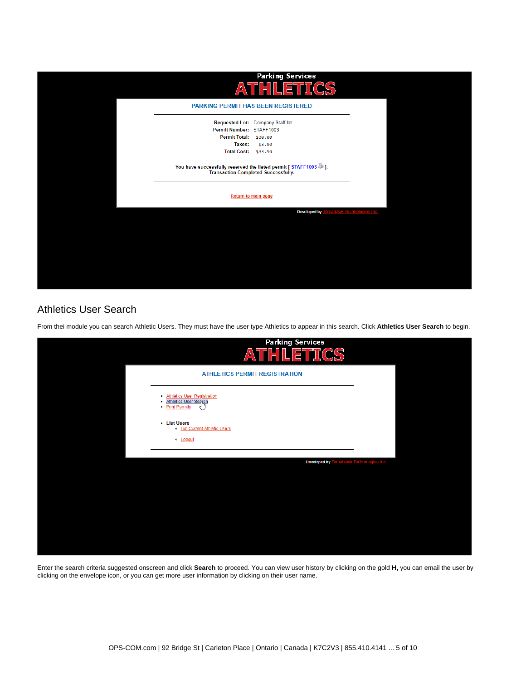

### <span id="page-4-0"></span>Athletics User Search

From thei module you can search Athletic Users. They must have the user type Athletics to appear in this search. Click **Athletics User Search** to begin.



Enter the search criteria suggested onscreen and click **Search** to proceed. You can view user history by clicking on the gold **H,** you can email the user by clicking on the envelope icon, or you can get more user information by clicking on their user name.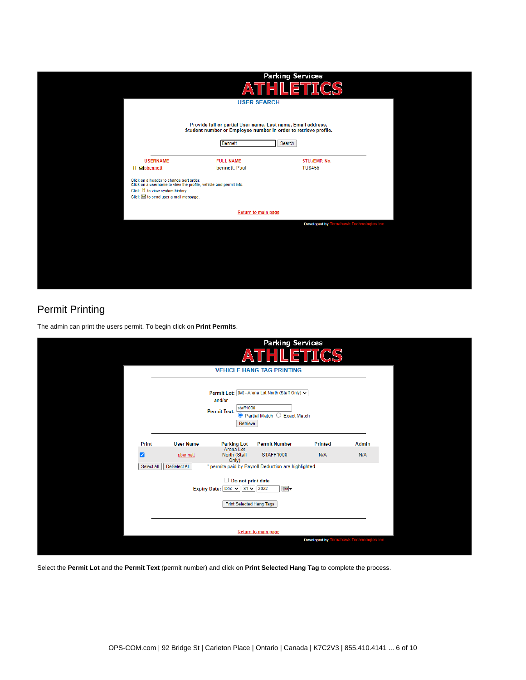| Provide full or partial User name, Last name, Email address,<br>Student number or Employee number in order to retrieve profile.<br>Search<br><b>Bennett</b><br><b>USERNAME</b><br>STU./EMP. No.<br><b>FULL NAME</b><br><b>TU8456</b><br>bennett, Paul<br>H Sopbennett<br>Click on a header to change sort order.<br>Click on a username to view the profile, vehicle and permit info.<br>Click H to view system history.<br>Click M to send user a mail message.<br>Return to main page<br><b>Developed by</b><br>hawk Technolog | THL<br><u> Δ</u><br><b>USER SEARCH</b> | <b>Parking Services</b><br>.ETTICS |  |
|----------------------------------------------------------------------------------------------------------------------------------------------------------------------------------------------------------------------------------------------------------------------------------------------------------------------------------------------------------------------------------------------------------------------------------------------------------------------------------------------------------------------------------|----------------------------------------|------------------------------------|--|
|                                                                                                                                                                                                                                                                                                                                                                                                                                                                                                                                  |                                        |                                    |  |
|                                                                                                                                                                                                                                                                                                                                                                                                                                                                                                                                  |                                        |                                    |  |
|                                                                                                                                                                                                                                                                                                                                                                                                                                                                                                                                  |                                        |                                    |  |
|                                                                                                                                                                                                                                                                                                                                                                                                                                                                                                                                  |                                        |                                    |  |
|                                                                                                                                                                                                                                                                                                                                                                                                                                                                                                                                  |                                        |                                    |  |

## <span id="page-5-0"></span>Permit Printing

The admin can print the users permit. To begin click on **Print Permits**.

|            |                     |                                                                                                                               | <b>Parking Services</b><br>$\mathbf{5}$                                                         | 7 (C)               |              |  |
|------------|---------------------|-------------------------------------------------------------------------------------------------------------------------------|-------------------------------------------------------------------------------------------------|---------------------|--------------|--|
|            |                     |                                                                                                                               | <b>VEHICLE HANG TAG PRINTING</b>                                                                |                     |              |  |
|            |                     | and/or<br>staff1000<br><b>Permit Text:</b><br>Retrieve                                                                        | Permit Lot: [M] - Arena Lot North (Staff Only) v<br>$\bullet$ Partial Match $\circ$ Exact Match |                     |              |  |
| Print      | <b>User Name</b>    | <b>Parking Lot</b>                                                                                                            | <b>Permit Number</b>                                                                            | <b>Printed</b>      | <b>Admin</b> |  |
| ╭          | pbennett            | Arena Lot<br>North (Staff<br>Only)                                                                                            | STAFF1000                                                                                       | N/A                 | N/A          |  |
| Select All | <b>DeSelect All</b> |                                                                                                                               | * permits paid by Payroll Deduction are highlighted.                                            |                     |              |  |
|            |                     | $\Box$ Do not print date<br>Expiry Date: $\boxed{\mathsf{Dec}} \vee \boxed{31} \vee \boxed{2022}$<br>Print Selected Hang Tags | <b>B</b> -                                                                                      |                     |              |  |
|            |                     |                                                                                                                               | Return to main page                                                                             |                     |              |  |
|            |                     |                                                                                                                               |                                                                                                 | <b>Developed by</b> | k Technolog  |  |

Select the **Permit Lot** and the **Permit Text** (permit number) and click on **Print Selected Hang Tag** to complete the process.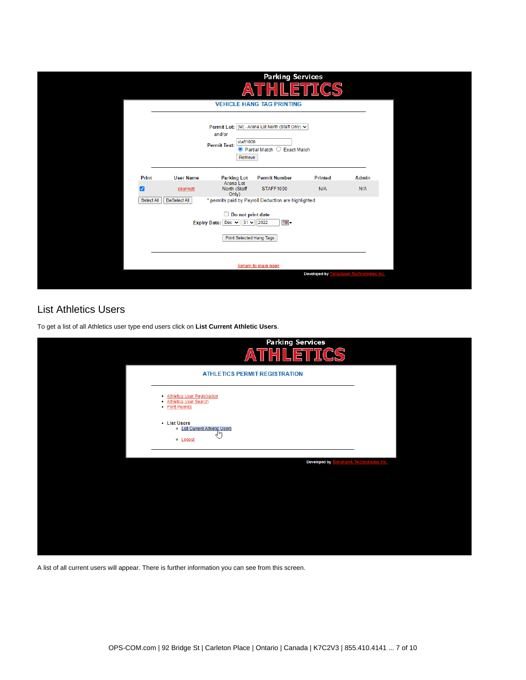|                                                                                  |                     |                                                        | <b>Parking Services</b><br>$\overline{\mathbf{E}}$                                              |                     |              |  |  |  |
|----------------------------------------------------------------------------------|---------------------|--------------------------------------------------------|-------------------------------------------------------------------------------------------------|---------------------|--------------|--|--|--|
|                                                                                  |                     |                                                        | <b>VEHICLE HANG TAG PRINTING</b>                                                                |                     |              |  |  |  |
|                                                                                  |                     | and/or<br>staff1000<br><b>Permit Text:</b><br>Retrieve | Permit Lot: [M] - Arena Lot North (Staff Only) v<br>$\bullet$ Partial Match $\circ$ Exact Match |                     |              |  |  |  |
| Print                                                                            | <b>User Name</b>    | <b>Parking Lot</b>                                     | <b>Permit Number</b>                                                                            | <b>Printed</b>      | <b>Admin</b> |  |  |  |
| ◡                                                                                | pbennett            | Arena Lot<br>North (Staff<br>Only)                     | <b>STAFF1000</b>                                                                                | N/A                 | N/A          |  |  |  |
| Select All                                                                       | <b>DeSelect All</b> |                                                        | * permits paid by Payroll Deduction are highlighted.                                            |                     |              |  |  |  |
| $\Box$ Do not print date<br>Expiry Date: Dec $\vee$ 31 $\vee$ 2022<br><b>B</b> - |                     |                                                        |                                                                                                 |                     |              |  |  |  |
|                                                                                  |                     | <b>Print Selected Hang Tags</b>                        |                                                                                                 |                     |              |  |  |  |
|                                                                                  |                     |                                                        | Return to main page                                                                             |                     |              |  |  |  |
|                                                                                  |                     |                                                        |                                                                                                 | <b>Developed by</b> |              |  |  |  |

### <span id="page-6-0"></span>List Athletics Users

To get a list of all Athletics user type end users click on **List Current Athletic Users**.



A list of all current users will appear. There is further information you can see from this screen.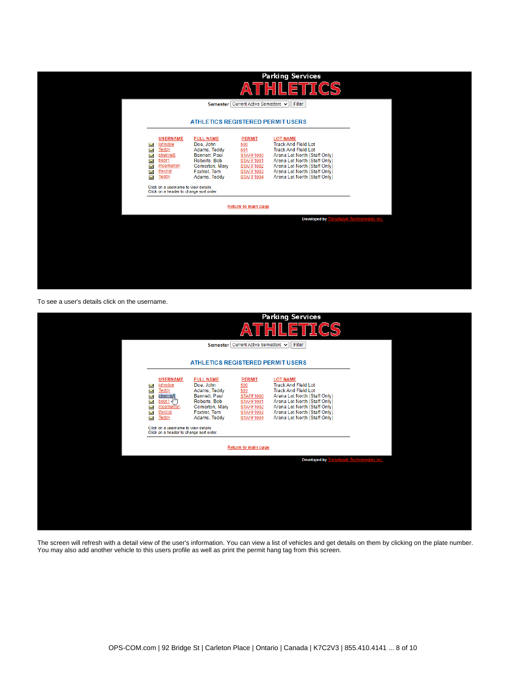

To see a user's details click on the username.

| Semester   Current Active Semesters v<br>Filter<br><b>ATHLETICS REGISTERED PERMIT USERS</b><br><b>USERNAME</b><br><b>FULL NAME</b><br><b>PERMIT</b><br><b>LOT NAME</b><br><b>Track And Field Lot</b><br>Doe, John<br>johndoe<br>500<br><b>XXXXXX</b><br><b>Teddy</b><br>501<br><b>Track And Field Lot</b><br>Adams, Teddy<br>Bennett, Paul<br>Arena Lot North (Staff Only)<br>pbennett<br><b>STAFF1000</b><br>Arena Lot North (Staff Only)<br>bobr1 $\sim$<br>Roberts, Bob<br><b>STAFF1001</b><br>Arena Lot North (Staff Only)<br>Comerton, Mary<br>mcomerton<br><b>STAFF1002</b><br>Arena Lot North (Staff Only)<br>tfoxtrot<br>Foxtrot, Tom<br><b>STAFF1003</b><br><b>Teddy</b><br>Arena Lot North (Staff Only)<br>Adams, Teddy<br><b>STAFF1004</b><br>Click on a username to view details.<br>Click on a header to change sort order.<br>Return to main page<br><b>Developed by</b><br>wk Technolog<br>es Inc. |  | /≙′ | <b>Parking Services</b><br>ETTICS |  |
|-------------------------------------------------------------------------------------------------------------------------------------------------------------------------------------------------------------------------------------------------------------------------------------------------------------------------------------------------------------------------------------------------------------------------------------------------------------------------------------------------------------------------------------------------------------------------------------------------------------------------------------------------------------------------------------------------------------------------------------------------------------------------------------------------------------------------------------------------------------------------------------------------------------------|--|-----|-----------------------------------|--|
|                                                                                                                                                                                                                                                                                                                                                                                                                                                                                                                                                                                                                                                                                                                                                                                                                                                                                                                   |  |     |                                   |  |
|                                                                                                                                                                                                                                                                                                                                                                                                                                                                                                                                                                                                                                                                                                                                                                                                                                                                                                                   |  |     |                                   |  |
|                                                                                                                                                                                                                                                                                                                                                                                                                                                                                                                                                                                                                                                                                                                                                                                                                                                                                                                   |  |     |                                   |  |
|                                                                                                                                                                                                                                                                                                                                                                                                                                                                                                                                                                                                                                                                                                                                                                                                                                                                                                                   |  |     |                                   |  |
|                                                                                                                                                                                                                                                                                                                                                                                                                                                                                                                                                                                                                                                                                                                                                                                                                                                                                                                   |  |     |                                   |  |
|                                                                                                                                                                                                                                                                                                                                                                                                                                                                                                                                                                                                                                                                                                                                                                                                                                                                                                                   |  |     |                                   |  |
|                                                                                                                                                                                                                                                                                                                                                                                                                                                                                                                                                                                                                                                                                                                                                                                                                                                                                                                   |  |     |                                   |  |
|                                                                                                                                                                                                                                                                                                                                                                                                                                                                                                                                                                                                                                                                                                                                                                                                                                                                                                                   |  |     |                                   |  |
|                                                                                                                                                                                                                                                                                                                                                                                                                                                                                                                                                                                                                                                                                                                                                                                                                                                                                                                   |  |     |                                   |  |
|                                                                                                                                                                                                                                                                                                                                                                                                                                                                                                                                                                                                                                                                                                                                                                                                                                                                                                                   |  |     |                                   |  |
|                                                                                                                                                                                                                                                                                                                                                                                                                                                                                                                                                                                                                                                                                                                                                                                                                                                                                                                   |  |     |                                   |  |

The screen will refresh with a detail view of the user's information. You can view a list of vehicles and get details on them by clicking on the plate number. You may also add another vehicle to this users profile as well as print the permit hang tag from this screen.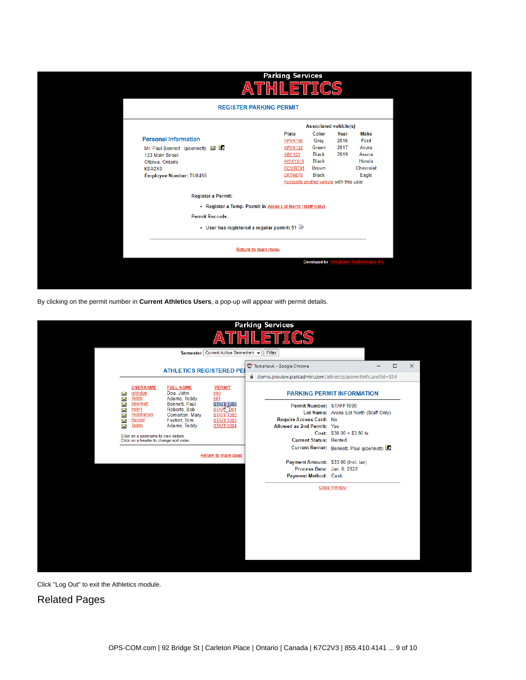| /Δ۱                                                                  | <b>Parking Services</b><br>THIL          | .ETTICS                               |              |                         |  |
|----------------------------------------------------------------------|------------------------------------------|---------------------------------------|--------------|-------------------------|--|
|                                                                      | <b>REGISTER PARKING PERMIT</b>           |                                       |              |                         |  |
|                                                                      |                                          | <b>Associated vehicle(s)</b>          |              |                         |  |
| <b>Personal Information</b>                                          | Plate<br>APVK189                         | Color<br>Grey                         | Year<br>2016 | <b>Make</b><br>Ford     |  |
| Mr. Paul Bennett (pbennett) MI<br>123 Main Street<br>Ottawa, Ontario | APVK122<br><b>ABC123</b><br>AWXY410      | Green<br><b>Black</b><br><b>Black</b> | 2017<br>2019 | Acura<br>Asuna<br>Honda |  |
| <b>K0A2X0</b><br>Employee Number: TU8456                             | BCWR791<br>BKTN876                       | <b>Brown</b><br><b>Black</b>          |              | Chevrolet<br>Eagle      |  |
| <b>Register a Permit:</b>                                            | Associate another vehicle with this user |                                       |              |                         |  |
| • Register a Temp. Permit in Arena Lot North (Staff Only)            |                                          |                                       |              |                         |  |
| <b>Permit Records:</b>                                               |                                          |                                       |              |                         |  |
| • User has registered a regular permit: 51                           |                                          |                                       |              |                         |  |
|                                                                      | <b>Return to main menu</b>               |                                       |              |                         |  |
|                                                                      |                                          | <b>Developed by</b>                   |              | awk Technologies Inc    |  |
|                                                                      |                                          |                                       |              |                         |  |

By clicking on the permit number in **Current Athletics Users**, a pop-up will appear with permit details.

|                                                                                                                                                              |                                                                                 |                                                                                        | <b>Parking Services</b>                                                                               |                                                                        |          |
|--------------------------------------------------------------------------------------------------------------------------------------------------------------|---------------------------------------------------------------------------------|----------------------------------------------------------------------------------------|-------------------------------------------------------------------------------------------------------|------------------------------------------------------------------------|----------|
|                                                                                                                                                              |                                                                                 | 'A                                                                                     | 戶                                                                                                     |                                                                        |          |
|                                                                                                                                                              |                                                                                 | Semester Current Active Semesters v                                                    | Filter                                                                                                |                                                                        |          |
|                                                                                                                                                              | <b>ATHLETICS REGISTERED PEI</b>                                                 |                                                                                        | <sup>O</sup> Tomahawk - Google Chrome<br>□ demo.preview.parkadmin.com/athletics/permitInfo.aro?id=834 | □                                                                      | $\times$ |
| <b>USERNAME</b><br>johndoe<br>$\boldsymbol{\mathsf{x}}$                                                                                                      | <b>FULL NAME</b><br>Doe, John                                                   | <b>PERMIT</b><br>500                                                                   |                                                                                                       | <b>PARKING PERMIT INFORMATION</b>                                      |          |
| Teddy<br>Χ<br>pbennett<br>$\overline{\mathbf{v}}$<br>bobr1<br>$\overline{\mathbf{v}}$<br>$\tilde{\phantom{a}}$<br>mcomerton<br>tfoxtrot<br>Χ<br><b>Teddy</b> | Adams, Teddy<br>Bennett, Paul<br>Roberts, Bob<br>Comerton, Mary<br>Foxtrot, Tom | 501<br><b>STAFF1000</b><br>"001<br><b>STAR</b><br><b>STAFF1002</b><br><b>STAFF1003</b> | Permit Number: STAFF1000<br>Require Access Card: No                                                   | Lot Name: Arena Lot North (Staff Only)                                 |          |
| Σ<br>Click on a username to view details.<br>Click on a header to change sort order.                                                                         | Adams, Teddy                                                                    | <b>STAFF1004</b>                                                                       | Allowed as 2nd Permit: Yes<br><b>Current Status: Rented</b>                                           | Cost: $$30.00 + $3.90$ tx.<br>Current Renter: Bennett, Paul (pbennett) |          |
|                                                                                                                                                              |                                                                                 | Return to main page                                                                    | Payment Amount: \$33.90 (incl. tax)<br>Process Date: Jan. 6, 2022                                     |                                                                        |          |
|                                                                                                                                                              |                                                                                 |                                                                                        | Payment Method: Cash                                                                                  | <b>Close Window</b>                                                    |          |
|                                                                                                                                                              |                                                                                 |                                                                                        |                                                                                                       |                                                                        |          |
|                                                                                                                                                              |                                                                                 |                                                                                        |                                                                                                       |                                                                        |          |
|                                                                                                                                                              |                                                                                 |                                                                                        |                                                                                                       |                                                                        |          |
|                                                                                                                                                              |                                                                                 |                                                                                        |                                                                                                       |                                                                        |          |
|                                                                                                                                                              |                                                                                 |                                                                                        |                                                                                                       |                                                                        |          |

Click "Log Out" to exit the Athletics module.

<span id="page-8-0"></span>Related Pages